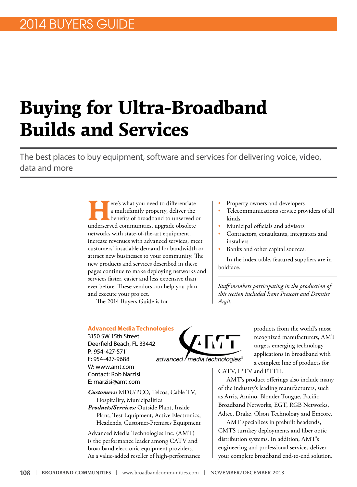# **Buying for Ultra-Broadband Builds and Services**

The best places to buy equipment, software and services for delivering voice, video, data and more

> ere's what you need to differentiate a multifamily property, deliver the benefits of broadband to unserved or underserved communities, upgrade obsolete networks with state-of-the-art equipment, increase revenues with advanced services, meet customers' insatiable demand for bandwidth or attract new businesses to your community. The new products and services described in these pages continue to make deploying networks and services faster, easier and less expensive than ever before. These vendors can help you plan and execute your project.

The 2014 Buyers Guide is for

- Property owners and developers
- Telecommunications service providers of all kinds
- Municipal officials and advisors
- Contractors, consultants, integrators and installers
- Banks and other capital sources.

In the index table, featured suppliers are in boldface.

*Staff members participating in the production of this section included Irene Prescott and Dennise Argil.*

#### **Advanced Media Technologies**

3150 SW 15th Street Deerfield Beach, FL 33442 P: 954-427-5711 F: 954-427-9688 W: [www.amt.com](http://www.amt.com) Contact: Rob Narzisi E: [rnarzisi@amt.com](mailto:rnarzisi@amt.com)

*Customers:* MDU/PCO, Telcos, Cable TV, Hospitality, Municipalities *Products/Services:* Outside Plant, Inside Plant, Test Equipment, Active Electronics, Headends, Customer-Premises Equipment

Advanced Media Technologies Inc. (AMT) is the performance leader among CATV and broadband electronic equipment providers. As a value-added reseller of high-performance



products from the world's most recognized manufacturers, AMT targets emerging technology applications in broadband with a complete line of products for

CATV, IPTV and FTTH.

AMT's product offerings also include many of the industry's leading manufacturers, such as Arris, Amino, Blonder Tongue, Pacific Broadband Networks, EGT, RGB Networks, Adtec, Drake, Olson Technology and Emcore.

AMT specializes in prebuilt headends, CMTS turnkey deployments and fiber optic distribution systems. In addition, AMT's engineering and professional services deliver your complete broadband end-to-end solution.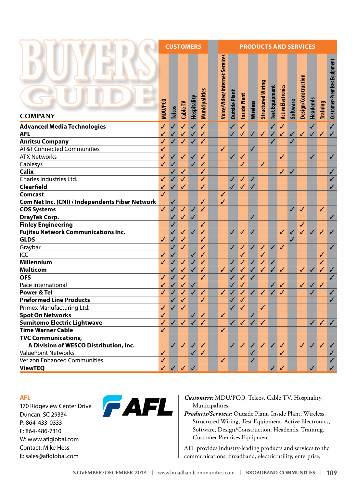|                                                                 | <b>CUSTOMERS</b> |                   |                                                     |              | <b>PRODUCTS AND SERVICES</b> |  |                               |                      |              |                 |                          |                       |                           |              |                     |                 |                                        |                             |
|-----------------------------------------------------------------|------------------|-------------------|-----------------------------------------------------|--------------|------------------------------|--|-------------------------------|----------------------|--------------|-----------------|--------------------------|-----------------------|---------------------------|--------------|---------------------|-----------------|----------------------------------------|-----------------------------|
| <b>COMPANY</b>                                                  | MDU/PCO          | <b>Telcos</b>     | Cable TV                                            | Hospitality  | Municipalities               |  | Voice/Video/Internet Services | <b>Outside Plant</b> | Inside Plant | <b>Wireless</b> | <b>Structured Wiring</b> | <b>Test Equipment</b> | <b>Active Electronics</b> | Software     | Design/Construction | <b>Headends</b> | Training                               | Customer-Premises Equipment |
|                                                                 |                  |                   | $\checkmark$                                        | $\checkmark$ | $\checkmark$                 |  |                               | ✓                    | $\checkmark$ |                 |                          | $\checkmark$          | $\checkmark$              |              |                     | $\checkmark$    |                                        | $\checkmark$                |
| <b>Advanced Media Technologies</b><br><b>AFL</b>                | ✓<br>✓           | $\checkmark$<br>✓ |                                                     | ✓            | ✓                            |  |                               | ✓                    | $\sqrt{}$    | ✓               | $\checkmark$             |                       | ✓                         | ✓            | $\checkmark$        | $\checkmark$    | ✓                                      | $\checkmark$                |
|                                                                 | ✓                |                   | ✓                                                   |              |                              |  |                               |                      |              |                 |                          | ✓                     |                           |              |                     |                 |                                        |                             |
| <b>Anritsu Company</b><br><b>AT&amp;T Connected Communities</b> | ✓                | ✓                 | ✓                                                   | ✓            | ✓                            |  | $\checkmark$                  |                      |              | ✓               |                          | ✓                     |                           | ✓            |                     |                 |                                        |                             |
| <b>ATX Networks</b>                                             | ✓                | ✓                 |                                                     | ✓            | ✓                            |  |                               | ✓                    | ✓            |                 |                          |                       | ✓                         |              |                     | $\checkmark$    |                                        | $\checkmark$                |
| Cablesys                                                        | ✓                | ✓                 | ✓                                                   | $\checkmark$ | ✓                            |  |                               |                      | ✓            |                 | ✓                        |                       |                           |              |                     |                 |                                        |                             |
| <b>Calix</b>                                                    |                  | ✓                 | ✓                                                   |              | ✓                            |  |                               |                      |              |                 |                          |                       | $\checkmark$              |              |                     |                 |                                        | $\checkmark$                |
| Charles Industries Ltd.                                         | ✓                |                   | ✓                                                   |              | ✓                            |  |                               | ✓                    | $\sqrt{}$    |                 |                          |                       |                           | ✓            |                     |                 |                                        | $\checkmark$                |
| Clearfield                                                      | ✓                | ✓                 |                                                     |              | ✓                            |  |                               | ✓                    | $\sqrt{}$    | ✓<br>✓          |                          |                       |                           |              |                     |                 |                                        | $\checkmark$                |
| Comcast                                                         | ✓                | ✓                 | ✓                                                   |              |                              |  | ✓                             |                      |              |                 |                          |                       |                           |              |                     |                 |                                        |                             |
|                                                                 |                  |                   |                                                     |              |                              |  |                               |                      |              |                 |                          |                       |                           |              |                     |                 |                                        |                             |
| Com Net Inc. (CNI) / Independents Fiber Network                 | $\checkmark$     | $\checkmark$      |                                                     |              | ✓                            |  | $\checkmark$                  |                      |              |                 |                          |                       |                           |              |                     |                 |                                        |                             |
| <b>COS Systems</b>                                              |                  | ✓                 | ✓                                                   | $\checkmark$ | $\checkmark$                 |  |                               |                      |              |                 |                          |                       |                           | $\checkmark$ | ✓                   |                 | ✓                                      |                             |
| <b>DrayTek Corp.</b>                                            |                  | ✓                 | ✓                                                   | ✓            |                              |  |                               |                      |              | ✓               |                          |                       |                           |              |                     |                 |                                        | $\checkmark$                |
| <b>Finley Engineering</b>                                       |                  | ✓                 |                                                     |              | ✓                            |  |                               |                      |              |                 |                          |                       |                           |              | ✓                   |                 |                                        |                             |
| <b>Fujitsu Network Communications Inc.</b><br><b>GLDS</b>       |                  | ✓                 | ✓                                                   | ✓            | ✓                            |  |                               | ✓                    | ✓            | ✓               |                          |                       | ✓                         | ✓            | ✓                   | $\checkmark$    | ✓                                      | $\checkmark$                |
|                                                                 | ✓                | ✓                 | ✓                                                   |              | ✓                            |  |                               |                      |              |                 |                          |                       |                           | ✓            |                     |                 |                                        |                             |
| Graybar                                                         |                  | ✓                 | ✓                                                   |              | ✓                            |  |                               | ✓                    | $\sqrt{}$    | ✓               | ✓                        | ✓                     | ✓                         |              |                     |                 |                                        | $\checkmark$                |
| ICC                                                             | ✓                | ✓                 |                                                     | ✓            | ✓                            |  |                               |                      | ✓            |                 | ✓                        |                       |                           |              |                     |                 | ✓                                      |                             |
| <b>Millennium</b>                                               | ✓                | ✓                 | ✓                                                   | ✓            | ✓                            |  |                               | ✓                    | $\sqrt{}$    | ✓               | ✓                        | ✓                     |                           |              |                     |                 | ✓                                      |                             |
| <b>Multicom</b>                                                 |                  | ✓                 | ✓                                                   | ✓            | ✓                            |  | ✓                             | ✓                    | $\sqrt{}$    | ✓               | ✓                        | ✓                     | $\checkmark$              |              | $\checkmark$        | $\checkmark$    | ✓                                      | $\checkmark$                |
| <b>OFS</b>                                                      | ✓                | ✓                 | ✓                                                   |              | ✓                            |  |                               | ✓                    | ✓            | ✓               |                          |                       |                           |              |                     |                 |                                        | $\checkmark$                |
| Pace International                                              | ✓                | ✓                 | ✓                                                   | ✓            |                              |  |                               | ✓                    | $\checkmark$ |                 |                          | ✓                     | ✓                         |              | $\checkmark$        | $\checkmark$    | ✓                                      |                             |
| <b>Power &amp; Tel</b>                                          | ✓                | J                 | $\checkmark$                                        | ✓            | ✓                            |  | ✓                             | ✓                    | ✓            | $\checkmark$    | $\checkmark$             | ✓                     | ✓                         |              |                     | ✓               |                                        | ✓                           |
| <b>Preformed Line Products</b>                                  |                  | ✓                 | ✓                                                   |              | ✓                            |  |                               | ✓                    | ✓            |                 |                          |                       |                           |              |                     |                 |                                        | $\checkmark$                |
| Primex Manufacturing Ltd.                                       | ✓                | ✓                 | ✓                                                   |              |                              |  |                               | ✓                    | ✓            |                 | ✓                        |                       |                           |              |                     |                 |                                        |                             |
| <b>Spot On Networks</b>                                         | ✓                |                   |                                                     | ✓            | ✓                            |  | ✓                             |                      |              | ✓               |                          |                       |                           |              |                     |                 |                                        |                             |
| <b>Sumitomo Electric Lightwave</b>                              | $\checkmark$     |                   | $\checkmark$ $\checkmark$ $\checkmark$ $\checkmark$ |              |                              |  |                               |                      | V V V V      |                 |                          |                       |                           |              |                     |                 | $\checkmark$ $\checkmark$ $\checkmark$ |                             |
| <b>Time Warner Cable</b>                                        | ✓                |                   |                                                     |              |                              |  | ✓                             |                      |              |                 |                          |                       |                           |              |                     |                 |                                        |                             |
| <b>TVC Communications,</b>                                      |                  |                   |                                                     |              |                              |  |                               |                      |              |                 |                          |                       |                           |              |                     |                 |                                        |                             |
| A Division of WESCO Distribution, Inc.                          |                  | $\checkmark$      | $\checkmark$                                        | $\checkmark$ | $\checkmark$                 |  |                               | $\checkmark$         | $\checkmark$ | $\checkmark$    | $\checkmark$             | $\checkmark$          | $\checkmark$              |              | $\checkmark$        | $\checkmark$    | $\checkmark$                           | $\checkmark$                |
| <b>ValuePoint Networks</b>                                      | $\checkmark$     |                   |                                                     | $\checkmark$ | $\checkmark$                 |  |                               |                      |              | ✓               |                          |                       | $\checkmark$              |              |                     |                 |                                        | ✓                           |
| <b>Verizon Enhanced Communities</b>                             | ✓                |                   |                                                     |              |                              |  | $\checkmark$                  |                      |              | ✓               |                          |                       |                           |              |                     |                 |                                        | $\checkmark$                |
| <b>ViewTEQ</b>                                                  | $\checkmark$     |                   | $\checkmark$ $\checkmark$                           | $\checkmark$ |                              |  |                               |                      |              |                 |                          |                       | $\checkmark$              |              |                     | $\checkmark$    |                                        | $\checkmark$                |

#### **AFL**

170 Ridgeview Center Drive Duncan, SC 29334 P: 864-433-0333 F: 864-486-7310 W: www.aflglobal.com Contact: Mike Hess E: sales@aflglobal.com



*Customers:* MDU/PCO, Telcos, Cable TV, Hospitality, Municipalities

*Products/Services:* Outside Plant, Inside Plant, Wireless, Structured Wiring, Test Equipment, Active Electronics, Software, Design/Construction, Headends, Training, Customer-Premises Equipment

AFL provides industry-leading products and services to the communications, broadband, electric utility, enterprise,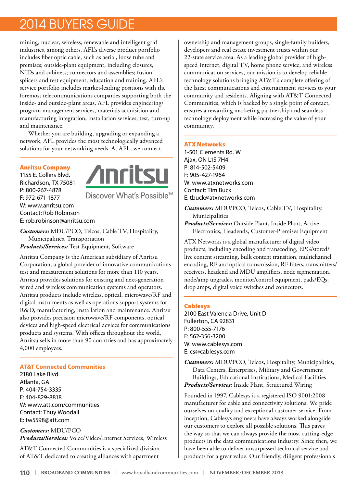mining, nuclear, wireless, renewable and intelligent grid industries, among others. AFL's diverse product portfolio includes fiber optic cable, such as aerial, loose tube and premises; outside-plant equipment, including closures, NIDs and cabinets; connectors and assemblies; fusion splicers and test equipment; education and training. AFL's service portfolio includes market-leading positions with the foremost telecommunications companies supporting both the inside- and outside-plant areas. AFL provides engineering/ program management services, materials acquisition and manufacturing integration, installation services, test, turn-up and maintenance.

Whether you are building, upgrading or expanding a network, AFL provides the most technologically advanced solutions for your networking needs. At AFL, we connect.

#### Anritsu Company

1155 E. Collins Blvd. Richardson, TX 75081 P: 800-267-4878 F: 972-671-1877 W: [www.anritsu.com](http://www.anritsu.com) Contact: Rob Robinson E: [rob.robinson@anritsu.com](mailto:rob.robinson@annitsu.com)



Discover What's Possible<sup>™</sup>

*Customers:* MDU/PCO, Telcos, Cable TV, Hospitality, Municipalities, Transportation *Products/Services:* Test Equipment, Software

Anritsu Company is the American subsidiary of Anritsu Corporation, a global provider of innovative communications test and measurement solutions for more than 110 years. Anritsu provides solutions for existing and next-generation wired and wireless communication systems and operators. Anritsu products include wireless, optical, microwave/RF and digital instruments as well as operations support systems for R&D, manufacturing, installation and maintenance. Anritsu also provides precision microwave/RF components, optical devices and high-speed electrical devices for communications products and systems. With offices throughout the world, Anritsu sells in more than 90 countries and has approximately 4,000 employees.

#### **AT&T Connected Communities**

2180 Lake Blvd. Atlanta, GA P: 404-754-3335 F: 404-829-8818 W: [www.att.com/communities](http://www.att.com/communities) Contact: Thuy Woodall E: [tw5598@att.com](mailto:tw5598@att.com)

*Customers:* MDU/PCO *Products/Services:* Voice/Video/Internet Services, Wireless

AT&T Connected Communities is a specialized division of AT&T dedicated to creating alliances with apartment

ownership and management groups, single-family builders, developers and real estate investment trusts within our 22-state service area. As a leading global provider of highspeed Internet, digital TV, home phone service, and wireless communication services, our mission is to develop reliable technology solutions bringing AT&T's complete offering of the latest communications and entertainment services to your community and residents. Aligning with AT&T Connected Communities, which is backed by a single point of contact, ensures a rewarding marketing partnership and seamless technology deployment while increasing the value of your community.

#### ATX Networks

1-501 Clements Rd. W Ajax, ON L1S 7H4 P: 814-502-5409 F: 905-427-1964 W: [www.atxnetworks.com](http://www.atxnetworks.com) Contact: Tim Buck E: [tbuck@atxnetworks.com](mailto:tbuck@atxnetworks.com)

*Customers:* MDU/PCO, Telcos, Cable TV, Hospitality, Municipalities

*Products/Services:* Outside Plant, Inside Plant, Active Electronics, Headends, Customer-Premises Equipment

ATX Networks is a global manufacturer of digital video products, including encoding and transcoding, EPG/stored/ live content streaming, bulk content transition, multichannel encoding, RF and optical transmission, RF filters, transmitters/ receivers, headend and MDU amplifiers, node segmentation, node/amp upgrades, monitor/control equipment, pads/EQs, drop amps, digital voice switches and connectors.

#### Cablesys

2100 East Valencia Drive, Unit D Fullerton, CA 92831 P: 800-555-7176 F: 562-356-3200 W: [www.cablesys.com](http://www.cablesys.com) E: [cs@cablesys.com](mailto:cs@cablesys.com)

*Customers:* MDU/PCO, Telcos, Hospitality, Municipalities, Data Centers, Enterprises, Military and Government Buildings, Educational Institutions, Medical Facilities *Products/Services:* Inside Plant, Structured Wiring

Founded in 1997, Cablesys is a registered ISO 9001:2008 manufacturer for cable and connectivity solutions. We pride ourselves on quality and exceptional customer service. From inception, Cablesys engineers have always worked alongside our customers to explore all possible solutions. This paves the way so that we can always provide the most cutting-edge products in the data communications industry. Since then, we have been able to deliver unsurpassed technical service and products for a great value. Our friendly, diligent professionals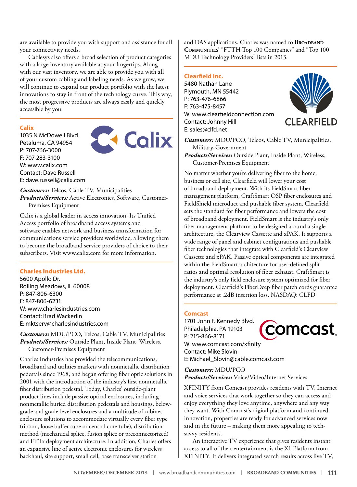are available to provide you with support and assistance for all your connectivity needs.

Cablesys also offers a broad selection of product categories with a large inventory available at your fingertips. Along with our vast inventory, we are able to provide you with all of your custom cabling and labeling needs. As we grow, we will continue to expand our product portfolio with the latest innovations to stay in front of the technology curve. This way, the most progressive products are always easily and quickly accessible by you.

#### **Calix**

1035 N McDowell Blvd. Petaluma, CA 94954 P: 707-766-3000 F: 707-283-3100 W: [www.calix.com](http://www.calix.com) Contact: Dave Russell E: [dave.russell@calix.com](mailto:dave.russell@calix.com)



*Customers:* Telcos, Cable TV, Municipalities *Products/Services:* Active Electronics, Software, Customer-Premises Equipment

Calix is a global leader in access innovation. Its Unified Access portfolio of broadband access systems and software enables network and business transformation for communications service providers worldwide, allowing them to become the broadband service providers of choice to their subscribers. Visit [www.calix.com](http://www.calix.com) for more information.

#### Charles Industries Ltd.

5600 Apollo Dr. Rolling Meadows, IL 60008 P: 847-806-6300 F: 847-806-6231 W: [www.charlesindustries.com](http://www.charlesindustries.com) Contact: Brad Wackerlin E: [mktserv@charlesindustries.com](mailto:mktserv@charlesindustries.com)

*Customers:* MDU/PCO, Telcos, Cable TV, Municipalities *Products/Services:* Outside Plant, Inside Plant, Wireless, Customer-Premises Equipment

Charles Industries has provided the telecommunications, broadband and utilities markets with nonmetallic distribution pedestals since 1968, and began offering fiber optic solutions in 2001 with the introduction of the industry's first nonmetallic fiber distribution pedestal. Today, Charles' outside-plant product lines include passive optical enclosures, including nonmetallic buried distribution pedestals and housings, belowgrade and grade-level enclosures and a multitude of cabinet enclosure solutions to accommodate virtually every fiber type (ribbon, loose buffer tube or central core tube), distribution method (mechanical splice, fusion splice or preconnectorized) and FTTx deployment architecture. In addition, Charles offers an expansive line of active electronic enclosures for wireless backhaul, site support, small cell, base transceiver station

and DAS applications. Charles was named to **BROADBAND Communities**' "FTTH Top 100 Companies" and "Top 100 MDU Technology Providers" lists in 2013.

#### **Clearfield Inc.**

5480 Nathan Lane Plymouth, MN 55442 P: 763-476-6866 F: 763-475-8457 W: [www.clearfieldconnection.com](http://www.clearfieldconnection.com) Contact: Johnny Hill E: [sales@clfd.net](mailto:sales@clfd.net)



*Customers:* MDU/PCO, Telcos, Cable TV, Municipalities, Military-Government

*Products/Services:* Outside Plant, Inside Plant, Wireless, Customer-Premises Equipment

No matter whether you're delivering fiber to the home, business or cell site, Clearfield will lower your cost of broadband deployment. With its FieldSmart fiber management platform, CraftSmart OSP fiber enclosures and FieldShield microduct and pushable fiber system, Clearfield sets the standard for fiber performance and lowers the cost of broadband deployment. FieldSmart is the industry's only fiber management platform to be designed around a single architecture, the Clearview Cassette and xPAK. It supports a wide range of panel and cabinet configurations and pushable fiber technologies that integrate with Clearfield's Clearview Cassette and xPAK. Passive optical components are integrated within the FieldSmart architecture for user-defined split ratios and optimal resolution of fiber exhaust. CraftSmart is the industry's only field enclosure system optimized for fiber deployment. Clearfield's FiberDeep fiber patch cords guarantee performance at .2dB insertion loss. NASDAQ: CLFD

#### **Comcast**

1701 John F. Kennedy Blvd. comcast Philadelphia, PA 19103 P: 215-866-8171 W: [www.comcast.com/xfinity](http://www.comcast.com/xfinity) Contact: Mike Slovin E: [Michael\\_Slovin@cable.comcast.com](mailto:Michael_Slovin@cable.comcast.com)

*Customers:* MDU/PCO *Products/Services:* Voice/Video/Internet Services

XFINITY from Comcast provides residents with TV, Internet and voice services that work together so they can access and enjoy everything they love anytime, anywhere and any way they want. With Comcast's digital platform and continued innovation, properties are ready for advanced services now and in the future – making them more appealing to techsavvy residents.

An interactive TV experience that gives residents instant access to all of their entertainment is the X1 Platform from XFINITY. It delivers integrated search results across live TV,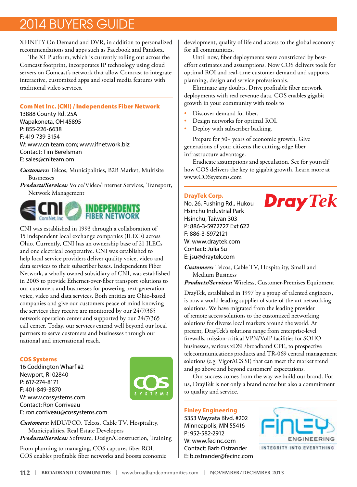XFINITY On Demand and DVR, in addition to personalized recommendations and apps such as Facebook and Pandora.

The X1 Platform, which is currently rolling out across the Comcast footprint, incorporates IP technology using cloud servers on Comcast's network that allow Comcast to integrate interactive, customized apps and social media features with traditional video services.

#### Com Net Inc. (CNI) / Independents Fiber Network

13888 County Rd. 25A Wapakoneta, OH 45895 P: 855-226-6638 F: 419-739-3154 W: [www.cniteam.com](http://www.cniteam.com); [www.ifnetwork.biz](http://www.ifnetwork.biz) Contact: Tim Berelsman E: [sales@cniteam.om](mailto:sales@cniteam.om)

- *Customers:* Telcos, Municipalities, B2B Market, Multisite Businesses
- *Products/Services:* Voice/Video/Internet Services, Transport, Network Management



CNI was established in 1993 through a collaboration of 15 independent local exchange companies (ILECs) across Ohio. Currently, CNI has an ownership base of 21 ILECs and one electrical cooperative. CNI was established to help local service providers deliver quality voice, video and data services to their subscriber bases. Independents Fiber Network, a wholly owned subsidiary of CNI, was established in 2003 to provide Ethernet-over-fiber transport solutions to our customers and businesses for powering next-generation voice, video and data services. Both entities are Ohio-based companies and give our customers peace of mind knowing the services they receive are monitored by our 24/7/365 network operation center and supported by our 24/7/365 call center. Today, our services extend well beyond our local partners to serve customers and businesses through our national and international reach.

#### COS Systems

16 Coddington Wharf #2 Newport, RI 02840 P: 617-274-8171 F: 401-849-3870 W: [www.cossystems.com](http://www.cossystems.com) Contact: Ron Corriveau E: [ron.corriveau@cossystems.com](mailto:ron.corriveau@cossystems.com)



*Customers:* MDU/PCO, Telcos, Cable TV, Hospitality, Municipalities, Real Estate Developers *Products/Services:* Software, Design/Construction, Training

From planning to managing, COS captures fiber ROI. COS enables profitable fiber networks and boosts economic development, quality of life and access to the global economy for all communities.

Until now, fiber deployments were constricted by besteffort estimates and assumptions. Now COS delivers tools for optimal ROI and real-time customer demand and supports planning, design and service professionals.

Eliminate any doubts. Drive profitable fiber network deployments with real revenue data. COS enables gigabit growth in your community with tools to

- Discover demand for fiber.
- Design networks for optimal ROI.
- Deploy with subscriber backing.

Prepare for 50+ years of economic growth. Give generations of your citizens the cutting-edge fiber infrastructure advantage.

Eradicate assumptions and speculation. See for yourself how COS delivers the key to gigabit growth. Learn more at [www.COSsystems.com](http://www.COSsystems.com) 

#### **DrayTek Corp.**

No. 26, Fushing Rd., Hukou Hsinchu Industrial Park Hsinchu, Taiwan 303 P: 886-3-5972727 Ext 622 F: 886-3-5972121 W: [www.draytek.com](http://www.draytek.com) Contact: Julia Su E: [jsu@draytek.com](mailto:jsu@draytek.com)



*Customers:* Telcos, Cable TV, Hospitality, Small and Medium Business

*Products/Services:* Wireless, Customer-Premises Equipment

DrayTek, established in 1997 by a group of talented engineers, is now a world-leading supplier of state-of-the-art networking solutions. We have migrated from the leading provider of remote access solutions to the customized networking solutions for diverse local markets around the world. At present, DrayTek's solutions range from enterprise-level firewalls, mission-critical VPN/VoIP facilities for SOHO businesses, various xDSL/broadband CPE, to prospective telecommunications products and TR-069 central management solutions (e.g. VigorACS SI) that can meet the market trend and go above and beyond customers' expectations.

Our success comes from the way we build our brand. For us, DrayTek is not only a brand name but also a commitment to quality and service.

#### **Finley Engineering**

5353 Wayzata Blvd. #202 Minneapolis, MN 55416 P: 952-582-2912 W: [www.fecinc.com](http://www.fecinc.com) Contact: Barb Ostrander E: [b.ostrander@fecinc.com](mailto:b.ostrander@fecinc.com)

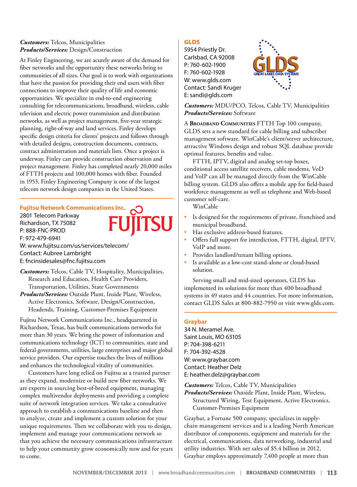#### *Customers:* Telcos, Municipalities *Products/Services:* Design/Construction

At Finley Engineering, we are acutely aware of the demand for fiber networks and the opportunity these networks bring to communities of all sizes. Our goal is to work with organizations that have the passion for providing their end users with fiber connections to improve their quality of life and economic opportunities. We specialize in end-to-end engineering consulting for telecommunications, broadband, wireless, cable television and electric power transmission and distribution networks, as well as project management, five-year strategic planning, right-of-way and land services. Finley develops specific design criteria for clients' projects and follows through with detailed designs, construction documents, contracts, contract administration and materials lists. Once a project is underway, Finley can provide construction observation and project management. Finley has completed nearly 20,000 miles of FTTH projects and 100,000 homes with fiber. Founded in 1953, Finley Engineering Company is one of the largest telecom network design companies in the United States.

#### **Fujitsu Network Communications Inc.**

2801 Telecom Parkway Richardson, TX 75082 P: 888-FNC-PROD F: 972-479-6941 W: [www.fujitsu.com/us/services/telecom/](http://www.fujitsu.com/us/services/telecom/) Contact: Aubree Lambright E: [fncinsidesales@fnc.fujitsu.com](mailto:fncinsidesales@fnc.fujitsu.com)

*Customers:* Telcos, Cable TV, Hospitality, Municipalities, Research and Education, Health Care Providers, Transportation, Utilities, State Governments

*Products/Services:* Outside Plant, Inside Plant, Wireless, Active Electronics, Software, Design/Construction, Headends, Training, Customer-Premises Equipment

Fujitsu Network Communications Inc., headquartered in Richardson, Texas, has built communications networks for more than 30 years. We bring the power of information and communications technology (ICT) to communities, state and federal governments, utilities, large enterprises and major global service providers. Our expertise touches the lives of millions and enhances the technological vitality of communities.

Customers have long relied on Fujitsu as a trusted partner as they expand, modernize or build new fiber networks. We are experts in sourcing best-of-breed equipment, managing complex multivendor deployments and providing a complete suite of network integration services. We take a consultative approach to establish a communications baseline and then to analyze, create and implement a custom solution for your unique requirements. Then we collaborate with you to design, implement and manage your communications network so that you achieve the necessary communications infrastructure to help your community grow economically now and for years to come.

#### GLDS

5954 Priestly Dr. Carlsbad, CA 92008 P: 760-602-1900 F: 760-602-1928 W: [www.glds.com](http://www.glds.com) Contact: Sandi Kruger E: [sandi@glds.com](mailto:sandi@glds.com)



*Customers:* MDU/PCO, Telcos, Cable TV, Municipalities *Products/Services:* Software

A **Broadband Communities** FTTH Top 100 company, GLDS sets a new standard for cable billing and subscriber management software. WinCable's client/server architecture, attractive Windows design and robust SQL database provide optimal features, benefits and value.

FTTH, IPTV, digital and analog set-top boxes, conditional access satellite receivers, cable modems, VoD and VoIP can all be managed directly from the WinCable billing system. GLDS also offers a mobile app for field-based workforce management as well as telephone and Web-based customer self-care.

WinCable

- Is designed for the requirements of private, franchised and municipal broadband.
- Has exclusive address-based features.
- Offers full support for interdiction, FTTH, digital, IPTV, VoIP and more.
- Provides landlord/tenant billing options.
- Is available as a low-cost stand-alone or cloud-based solution.

Serving small and mid-sized operators, GLDS has implemented its solutions for more than 400 broadband systems in 49 states and 44 countries. For more information, contact GLDS Sales at 800-882-7950 or visit [www.glds.com](http://www.glds.com/).

#### **Graybar**

34 N. Meramel Ave. Saint Louis, MO 63105 P: 704-398-6211 F: 704-392-4528 W: [www.graybar.com](http://www.graybar.com) Contact: Heather Delz E: [heather.delz@graybar.com](mailto:heather.delz@graybar.com)

*Customers:* Telcos, Cable TV, Municipalities

*Products/Services:* Outside Plant, Inside Plant, Wireless, Structured Wiring, Test Equipment, Active Electronics, Customer-Premises Equipment

Graybar, a Fortune 500 company, specializes in supplychain management services and is a leading North American distributor of components, equipment and materials for the electrical, communications, data networking, industrial and utility industries. With net sales of \$5.4 billion in 2012, Graybar employs approximately 7,400 people at more than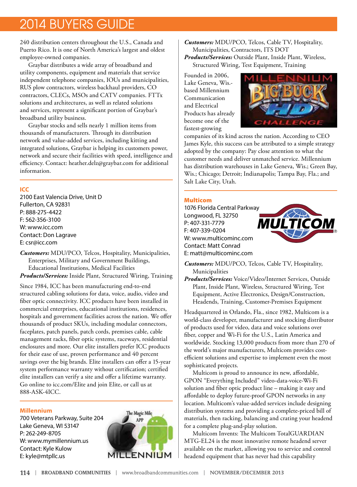240 distribution centers throughout the U.S., Canada and Puerto Rico. It is one of North America's largest and oldest employee-owned companies.

Graybar distributes a wide array of broadband and utility components, equipment and materials that service independent telephone companies, IOUs and municipalities, RUS plow contractors, wireless backhaul providers, CO contractors, CLECs, MSOs and CATV companies. FTTx solutions and architectures, as well as related solutions and services, represent a significant portion of Graybar's broadband utility business.

Graybar stocks and sells nearly 1 million items from thousands of manufacturers. Through its distribution network and value-added services, including kitting and integrated solutions, Graybar is helping its customers power, network and secure their facilities with speed, intelligence and efficiency. Contact: [heather.delz@graybar.com](mailto:heather.delz@graybar.com) for additional information.

#### **ICC**

2100 East Valencia Drive, Unit D Fullerton, CA 92831 P: 888-275-4422 F: 562-356-3100 W: [www.icc.com](http://www.icc.com) Contact: Don Lagrave E: csr@icc.com

*Customers:* MDU/PCO, Telcos, Hospitality, Municipalities, Enterprises, Military and Government Buildings, Educational Institutions, Medical Facilities *Products/Services:* Inside Plant, Structured Wiring, Training

Since 1984, ICC has been manufacturing end-to-end structured cabling solutions for data, voice, audio, video and fiber optic connectivity. ICC products have been installed in commercial enterprises, educational institutions, residences, hospitals and government facilities across the nation. We offer thousands of product SKUs, including modular connectors, faceplates, patch panels, patch cords, premises cable, cable management racks, fiber optic systems, raceways, residential enclosures and more. Our elite installers prefer ICC products for their ease of use, proven performance and 40 percent savings over the big brands. Elite installers can offer a 15-year system performance warranty without certification; certified elite installers can verify a site and offer a lifetime warranty. Go online to icc.com/Elite and join Elite, or call us at 888-ASK-4ICC.

#### **Millennium**

700 Veterans Parkway, Suite 204 Lake Geneva, WI 53147 P: 262-249-8705 W: [www.mymillennium.us](http://www.mymillennium.us) Contact: Kyle Kulow E: kyle@mtpllc.us



*Customers:* MDU/PCO, Telcos, Cable TV, Hospitality, Municipalities, Contractors, ITS DOT *Products/Services:* Outside Plant, Inside Plant, Wireless, Structured Wiring, Test Equipment, Training

Founded in 2006, Lake Geneva, Wis. based Millennium Communication and Electrical Products has already become one of the fastest-growing



companies of its kind across the nation. According to CEO James Kyle, this success can be attributed to a simple strategy adopted by the company: Pay close attention to what the customer needs and deliver unmatched service. Millennium has distribution warehouses in Lake Geneva, Wis.; Green Bay, Wis.; Chicago; Detroit; Indianapolis; Tampa Bay, Fla.; and Salt Lake City, Utah.

#### Multicom

1076 Florida Central Parkway Longwood, FL 32750 P: 407-331-7779 F: 407-339-0204 W: [www.multicominc.com](http://www.multicominc.com) Contact: Matt Conrad E: [matt@multicominc.com](mailto:matt@multicominc.com)



*Customers:* MDU/PCO, Telcos, Cable TV, Hospitality, Municipalities

*Products/Services:* Voice/Video/Internet Services, Outside Plant, Inside Plant, Wireless, Structured Wiring, Test Equipment, Active Electronics, Design/Construction, Headends, Training, Customer-Premises Equipment

Headquartered in Orlando, Fla., since 1982, Multicom is a world-class developer, manufacturer and stocking distributor of products used for video, data and voice solutions over fiber, copper and Wi-Fi for the U.S., Latin America and worldwide. Stocking 13,000 products from more than 270 of the world's major manufacturers, Multicom provides costefficient solutions and expertise to implement even the most sophisticated projects.

Multicom is proud to announce its new, affordable, GPON "Everything Included" video-data-voice-Wi-Fi solution and fiber optic product line – making it easy and affordable to deploy future-proof GPON networks in any location. Multicom's value-added services include designing distribution systems and providing a complete-priced bill of materials, then racking, balancing and crating your headend for a complete plug-and-play solution.

Multicom Invents: The Multicom TotalGUARDIAN MTG-EL24 is the most innovative remote headend server available on the market, allowing you to service and control headend equipment that has never had this capability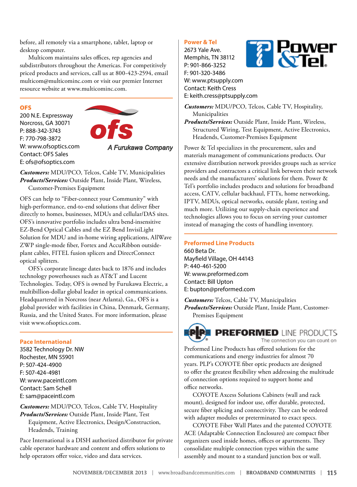before, all remotely via a smartphone, tablet, laptop or desktop computer.

Multicom maintains sales offices, rep agencies and subdistributors throughout the Americas. For competitively priced products and services, call us at 800-423-2594, email [multicom@multicominc.com](mailto:multicom@multicominc.com) or visit our premier Internet resource website at [www.multicominc.com.](http://www.multicominc.com)

#### **OFS**

200 N.E. Expressway Norcross, GA 30071 P: 888-342-3743 F: 770-798-3872 W: [www.ofsoptics.com](http://www.ofsoptics.com) Contact: OFS Sales E: [ofs@ofsoptics.com](mailto:ofs@ofsoptics.com)



*Customers:* MDU/PCO, Telcos, Cable TV, Municipalities *Products/Services:* Outside Plant, Inside Plant, Wireless, Customer-Premises Equipment

OFS can help to "Fiber-connect your Community" with high-performance, end-to-end solutions that deliver fiber directly to homes, businesses, MDUs and cellular/DAS sites. OFS's innovative portfolio includes ultra bend-insensitive EZ-Bend Optical Cables and the EZ Bend InvisiLight Solution for MDU and in-home wiring applications, AllWave ZWP single-mode fiber, Fortex and AccuRibbon outsideplant cables, FITEL fusion splicers and DirectConnect optical splitters.

OFS's corporate lineage dates back to 1876 and includes technology powerhouses such as AT&T and Lucent Technologies. Today, OFS is owned by Furukawa Electric, a multibillion-dollar global leader in optical communications. Headquartered in Norcross (near Atlanta), Ga., OFS is a global provider with facilities in China, Denmark, Germany, Russia, and the United States. For more information, please visit [www.ofsoptics.com](http://www.ofsoptics.com).

#### **Pace International**

3582 Technology Dr. NW Rochester, MN 55901 P: 507-424-4900 F: 507-424-4981 W: [www.paceintl.com](http://www.paceintl.com) Contact: Sam Schell E: [sam@paceintl.com](mailto:sam@paceintl.com)

*Customers:* MDU/PCO, Telcos, Cable TV, Hospitality *Products/Services:* Outside Plant, Inside Plant, Test Equipment, Active Electronics, Design/Construction, Headends, Training

Pace International is a DISH authorized distributor for private cable operator hardware and content and offers solutions to help operators offer voice, video and data services.

#### **Power & Tel**

2673 Yale Ave. Memphis, TN 38112 P: 901-866-3252 F: 901-320-3486 W: [www.ptsupply.com](http://www.ptsupply.com) Contact: Keith Cress E: [keith.cress@ptsupply.com](mailto:keith.cress@ptsupply.com)



*Customers:* MDU/PCO, Telcos, Cable TV, Hospitality, Municipalities

*Products/Services:* Outside Plant, Inside Plant, Wireless, Structured Wiring, Test Equipment, Active Electronics, Headends, Customer-Premises Equipment

Power & Tel specializes in the procurement, sales and materials management of communications products. Our extensive distribution network provides groups such as service providers and contractors a critical link between their network needs and the manufacturers' solutions for them. Power & Tel's portfolio includes products and solutions for broadband access, CATV, cellular backhaul, FTTx, home networking, IPTV, MDUs, optical networks, outside plant, testing and much more. Utilizing our supply-chain experience and technologies allows you to focus on serving your customer instead of managing the costs of handling inventory.

#### **Preformed Line Products**

660 Beta Dr. Mayfield Village, OH 44143 P: 440-461-5200 W: [www.preformed.com](http://www.preformed.com) Contact: Bill Upton E: [bupton@preformed.com](mailto:bupton@preformed.com)

*Customers:* Telcos, Cable TV, Municipalities *Products/Services:* Outside Plant, Inside Plant, Customer-Premises Equipment



The connection you can count on

Preformed Line Products has offered solutions for the communications and energy industries for almost 70 years. PLP's COYOTE fiber optic products are designed to offer the greatest flexibility when addressing the multitude of connection options required to support home and office networks.

COYOTE Axcess Solutions Cabinets (wall and rack mount), designed for indoor use, offer durable, protected, secure fiber splicing and connectivity. They can be ordered with adapter modules or preterminated to exact specs.

COYOTE Fiber Wall Plates and the patented COYOTE ACE (Adaptable Connection Enclosures) are compact fiber organizers used inside homes, offices or apartments. They consolidate multiple connection types within the same assembly and mount to a standard junction box or wall.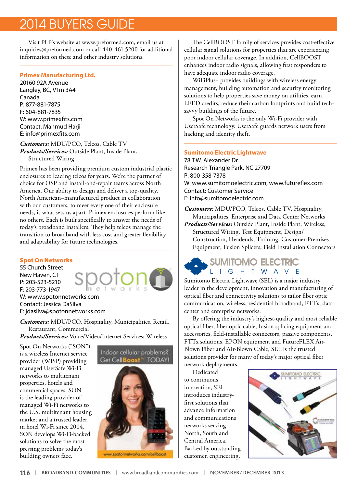Visit PLP's website at [www.preformed.com,](http://www.preformed.com) email us at [inquiries@preformed.com](mailto:inquiries@preformed.com) or call 440-461-5200 for additional information on these and other industry solutions.

#### **Primex Manufacturing Ltd.**

20160 92A Avenue Langley, BC, V1m 3A4 Canada P: 877-881-7875 F: 604-881-7835 W: [www.primexfits.com](http://www.primexfits.com) Contact: Mahmud Harji E: [info@primexfits.com](mailto:info@primexfits.com)

#### *Customers:* MDU/PCO, Telcos, Cable TV

*Products/Services:* Outside Plant, Inside Plant, Structured Wiring

Primex has been providing premium custom industrial plastic enclosures to leading telcos for years. We're the partner of choice for OSP and install-and-repair teams across North America. Our ability to design and deliver a top-quality, North American–manufactured product in collaboration with our customers, to meet every one of their enclosure needs, is what sets us apart. Primex enclosures perform like no others. Each is built specifically to answer the needs of today's broadband installers. They help telcos manage the transition to broadband with less cost and greater flexibility and adaptability for future technologies.

#### Spot On Networks

55 Church Street New Haven, CT P: 203-523-5210 F: 203-773-1947 W: [www.spotonnetworks.com](http://www.spotonnetworks.com) Contact: Jessica DaSilva E: [jdasilva@spotonnetworks.com](mailto:jdasilva@spotonnetworks.com)

*Customers:* MDU/PCO, Hospitality, Municipalities, Retail, Restaurant, Commercial

*Products/Services:* Voice/Video/Internet Services; Wireless

Spot On Networks ("SON") is a wireless Internet service provider (WISP) providing managed UserSafe Wi-Fi networks to multitenant properties, hotels and commercial spaces. SON is the leading provider of managed Wi-Fi networks to the U.S. multitenant housing market and a trusted leader in hotel Wi-Fi since 2004. SON develops Wi-Fi-backed solutions to solve the most pressing problems today's building owners face.

#### Indoor cellular problems? Get CellBoost<sup>\*</sup> TODAY!



The CellBOOST family of services provides cost-effective cellular signal solutions for properties that are experiencing poor indoor cellular coverage. In addition, CellBOOST enhances indoor radio signals, allowing first responders to have adequate indoor radio coverage.

WiFiPlus+ provides buildings with wireless energy management, building automation and security monitoring solutions to help properties save money on utilities, earn LEED credits, reduce their carbon footprints and build techsavvy buildings of the future.

Spot On Networks is the only Wi-Fi provider with UserSafe technology. UserSafe guards network users from hacking and identity theft.

#### **Sumitomo Electric Lightwave**

78 T.W. Alexander Dr. Research Triangle Park, NC 27709 P: 800-358-7378 W: [www.sumitomoelectric.com](http://www.sumitomoelectric.com), [www.futureflex.com](http://www.futureflex.com) Contact: Customer Service E: [info@sumitomoelectric.com](mailto:info@sumitomoelectric.com)

*Customers:* MDU/PCO, Telcos, Cable TV, Hospitality, Municipalities, Enterprise and Data Center Networks *Products/Services:* Outside Plant, Inside Plant, Wireless, Structured Wiring, Test Equipment, Design/ Construction, Headends, Training, Customer-Premises Equipment, Fusion Splicers, Field Installation Connectors

### **SUMITOMO ELECTRIC** I G H T W A V

Sumitomo Electric Lightwave (SEL) is a major industry leader in the development, innovation and manufacturing of optical fiber and connectivity solutions to tailor fiber optic communication, wireless, residential broadband, FTTx, data center and enterprise networks.

By offering the industry's highest-quality and most reliable optical fiber, fiber optic cable, fusion splicing equipment and accessories, field-installable connectors, passive components, FTTx solutions, EPON equipment and FutureFLEX Air-Blown Fiber and Air-Blown Cable, SEL is the trusted solutions provider for many of today's major optical fiber

network deployments.

Dedicated to continuous innovation, SEL introduces industryfirst solutions that advance information and communications networks serving North, South and Central America. Backed by outstanding customer, engineering,

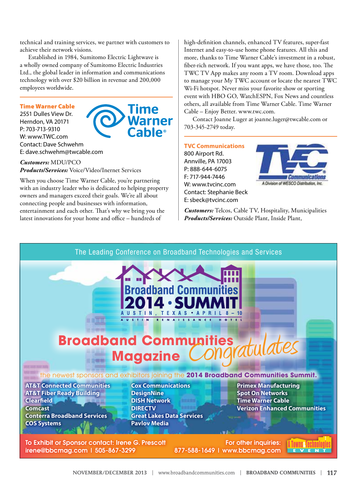technical and training services, we partner with customers to achieve their network visions.

Established in 1984, Sumitomo Electric Lightwave is a wholly owned company of Sumitomo Electric Industries Ltd., the global leader in information and communications technology with over \$20 billion in revenue and 200,000 employees worldwide.

**l**ime

#### Time Warner Cable

2551 Dulles View Dr. Herndon, VA 20171 P: 703-713-9310 W: [www.TWC.com](http://www.TWC.com) Contact: Dave Schwehm E: [dave.schwehm@twcable.com](mailto:dave.schwehm@twcable.com)

*Customers:* MDU/PCO *Products/Services:* Voice/Video/Inernet Services

When you choose Time Warner Cable, you're partnering with an industry leader who is dedicated to helping property owners and managers exceed their goals. We're all about connecting people and businesses with information, entertainment and each other. That's why we bring you the latest innovations for your home and office – hundreds of

high-definition channels, enhanced TV features, super-fast Internet and easy-to-use home phone features. All this and more, thanks to Time Warner Cable's investment in a robust, fiber-rich network. If you want apps, we have those, too. The TWC TV App makes any room a TV room. Download apps to manage your My TWC account or locate the nearest TWC Wi-Fi hotspot. Never miss your favorite show or sporting event with HBO GO, WatchESPN, Fox News and countless others, all available from Time Warner Cable. Time Warner Cable – Enjoy Better. www.twc.com.

Contact Joanne Luger at joanne.luger@twcable.com or 703-345-2749 today.

**TVC Communications** 800 Airport Rd. Annville, PA 17003 P: 888-644-6075 F: 717-944-7446 W: [www.tvcinc.com](http://www.tvcinc.com) Contact: Stephanie Beck E: [sbeck@tvcinc.com](mailto:sbeck@tvcinc.com)



*Customers:* Telcos, Cable TV, Hospitality, Municipalities *Products/Services:* Outside Plant, Inside Plant,